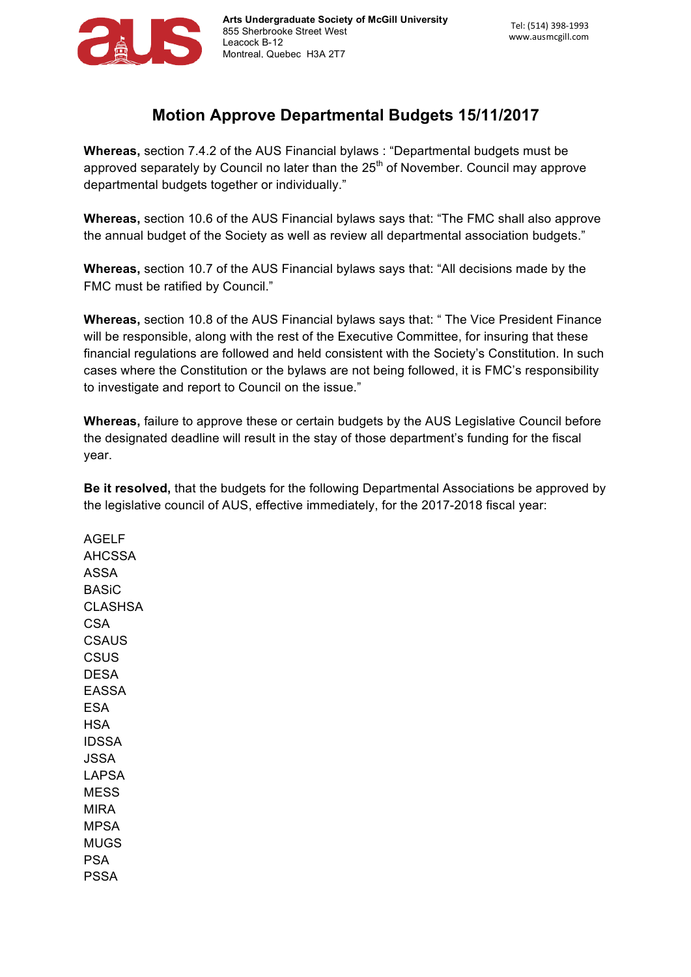

## **Motion Approve Departmental Budgets 15/11/2017**

**Whereas,** section 7.4.2 of the AUS Financial bylaws : "Departmental budgets must be approved separately by Council no later than the  $25<sup>th</sup>$  of November. Council may approve departmental budgets together or individually."

**Whereas,** section 10.6 of the AUS Financial bylaws says that: "The FMC shall also approve the annual budget of the Society as well as review all departmental association budgets."

**Whereas,** section 10.7 of the AUS Financial bylaws says that: "All decisions made by the FMC must be ratified by Council."

**Whereas,** section 10.8 of the AUS Financial bylaws says that: " The Vice President Finance will be responsible, along with the rest of the Executive Committee, for insuring that these financial regulations are followed and held consistent with the Society's Constitution. In such cases where the Constitution or the bylaws are not being followed, it is FMC's responsibility to investigate and report to Council on the issue."

**Whereas,** failure to approve these or certain budgets by the AUS Legislative Council before the designated deadline will result in the stay of those department's funding for the fiscal year.

**Be it resolved,** that the budgets for the following Departmental Associations be approved by the legislative council of AUS, effective immediately, for the 2017-2018 fiscal year:

AGELF AHCSSA ASSA BASiC **CLASHSA** CSA **CSAUS CSUS** DESA EASSA ESA **HSA** IDSSA JSSA LAPSA MESS MIRA MPSA MUGS PSA PSSA